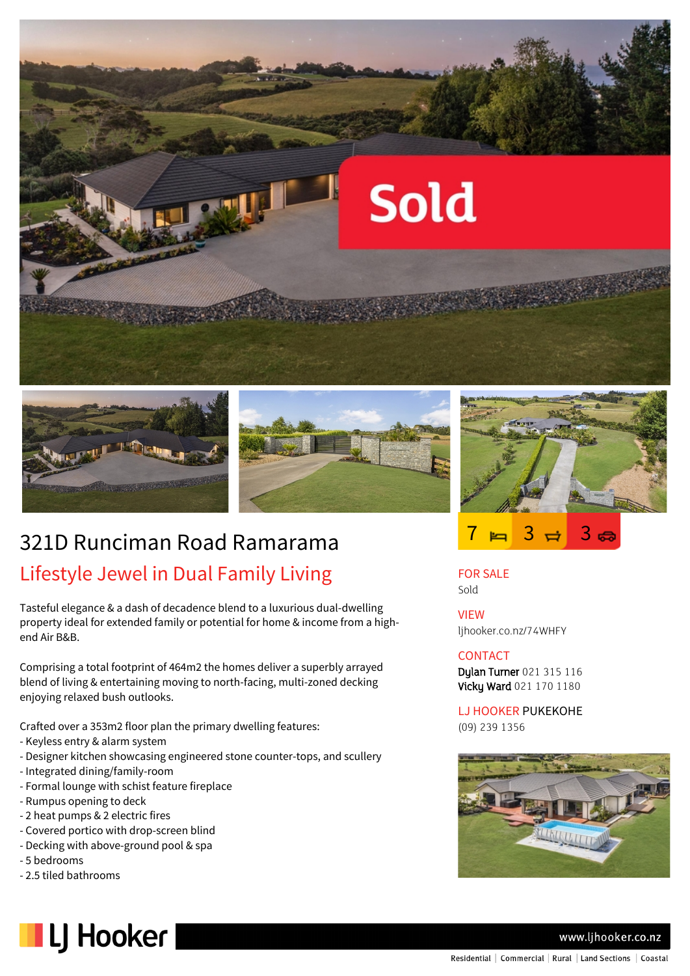





# 321D Runciman Road Ramarama Lifestyle Jewel in Dual Family Living

Tasteful elegance & a dash of decadence blend to a luxurious dual-dwelling property ideal for extended family or potential for home & income from a highend Air B&B.

Comprising a total footprint of 464m2 the homes deliver a superbly arrayed blend of living & entertaining moving to north-facing, multi-zoned decking enjoying relaxed bush outlooks.

Crafted over a 353m2 floor plan the primary dwelling features:

- Keyless entry & alarm system
- Designer kitchen showcasing engineered stone counter-tops, and scullery
- Integrated dining/family-room
- Formal lounge with schist feature fireplace
- Rumpus opening to deck
- 2 heat pumps & 2 electric fires
- Covered portico with drop-screen blind
- Decking with above-ground pool & spa
- 5 bedrooms
- 2.5 tiled bathrooms







FOR SALE Sold

VIEW ljhooker.co.nz/74WHFY

### **CONTACT**

Dylan Turner 021 315 116 Vicky Ward 021 170 1180

LJ HOOKER PUKEKOHE (09) 239 1356



#### www.ljhooker.co.nz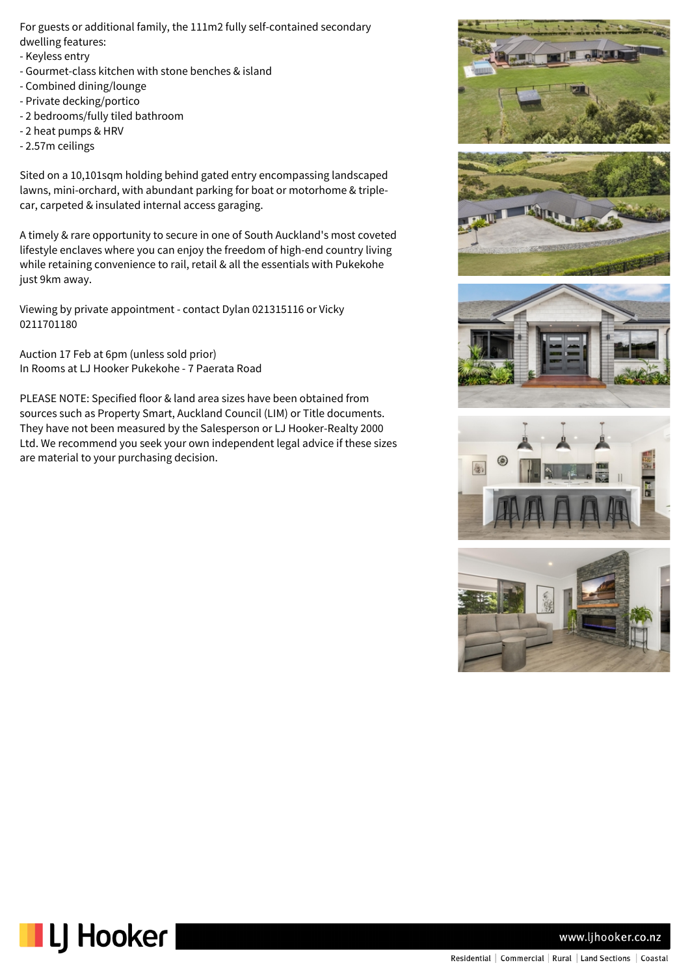For guests or additional family, the 111m2 fully self-contained secondary dwelling features:

- Keyless entry
- Gourmet-class kitchen with stone benches & island
- Combined dining/lounge
- Private decking/portico
- 2 bedrooms/fully tiled bathroom
- 2 heat pumps & HRV
- 2.57m ceilings

Sited on a 10,101sqm holding behind gated entry encompassing landscaped lawns, mini-orchard, with abundant parking for boat or motorhome & triplecar, carpeted & insulated internal access garaging.

A timely & rare opportunity to secure in one of South Auckland's most coveted lifestyle enclaves where you can enjoy the freedom of high-end country living while retaining convenience to rail, retail & all the essentials with Pukekohe just 9km away.

Viewing by private appointment - contact Dylan 021315116 or Vicky 0211701180

Auction 17 Feb at 6pm (unless sold prior) In Rooms at LJ Hooker Pukekohe - 7 Paerata Road

PLEASE NOTE: Specified floor & land area sizes have been obtained from sources such as Property Smart, Auckland Council (LIM) or Title documents. They have not been measured by the Salesperson or LJ Hooker-Realty 2000 Ltd. We recommend you seek your own independent legal advice if these sizes are material to your purchasing decision.













www.ljhooker.co.nz